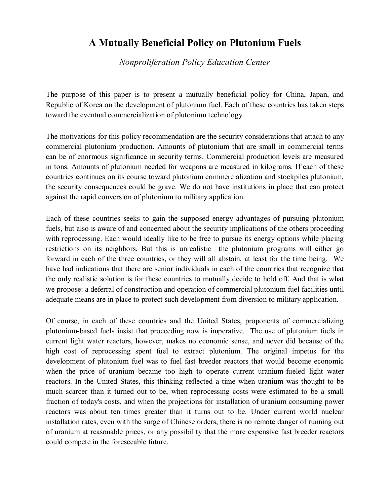## **A Mutually Beneficial Policy on Plutonium Fuels**

*Nonproliferation Policy Education Center* 

The purpose of this paper is to present a mutually beneficial policy for China, Japan, and Republic of Korea on the development of plutonium fuel. Each of these countries has taken steps toward the eventual commercialization of plutonium technology.

The motivations for this policy recommendation are the security considerations that attach to any commercial plutonium production. Amounts of plutonium that are small in commercial terms can be of enormous significance in security terms. Commercial production levels are measured in tons. Amounts of plutonium needed for weapons are measured in kilograms. If each of these countries continues on its course toward plutonium commercialization and stockpiles plutonium, the security consequences could be grave. We do not have institutions in place that can protect against the rapid conversion of plutonium to military application.

Each of these countries seeks to gain the supposed energy advantages of pursuing plutonium fuels, but also is aware of and concerned about the security implications of the others proceeding with reprocessing. Each would ideally like to be free to pursue its energy options while placing restrictions on its neighbors. But this is unrealistic—the plutonium programs will either go forward in each of the three countries, or they will all abstain, at least for the time being. We have had indications that there are senior individuals in each of the countries that recognize that the only realistic solution is for these countries to mutually decide to hold off. And that is what we propose: a deferral of construction and operation of commercial plutonium fuel facilities until adequate means are in place to protect such development from diversion to military application.

Of course, in each of these countries and the United States, proponents of commercializing plutonium-based fuels insist that proceeding now is imperative. The use of plutonium fuels in current light water reactors, however, makes no economic sense, and never did because of the high cost of reprocessing spent fuel to extract plutonium. The original impetus for the development of plutonium fuel was to fuel fast breeder reactors that would become economic when the price of uranium became too high to operate current uranium-fueled light water reactors. In the United States, this thinking reflected a time when uranium was thought to be much scarcer than it turned out to be, when reprocessing costs were estimated to be a small fraction of today's costs, and when the projections for installation of uranium consuming power reactors was about ten times greater than it turns out to be. Under current world nuclear installation rates, even with the surge of Chinese orders, there is no remote danger of running out of uranium at reasonable prices, or any possibility that the more expensive fast breeder reactors could compete in the foreseeable future.